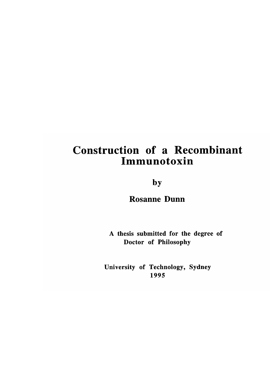## Construction of a Recombinant Immunotoxin

by

Rosanne Dunn

A thesis submitted for the degree of Doctor of Philosophy

University of Technology, Sydney 1995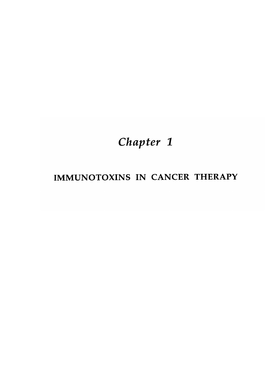# *Chapter 1*

### IMMUNOTOXINS IN CANCER THERAPY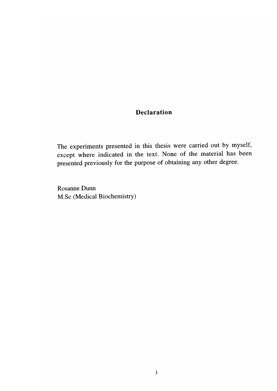#### **Declaration**

The experiments presented in this thesis were carried out by myself, except where indicated in the text. None of the material has been presented previously for the purpose of obtaining any other degree.

Rosanne Dunn M.Sc (Medical Biochemistry)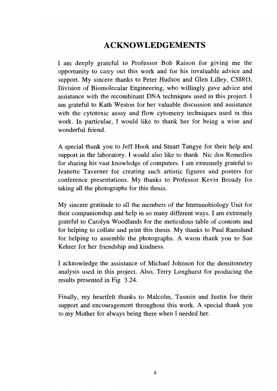#### **ACKNOWLEDGEMENTS**

I am deeply grateful to Professor Bob Raison for giving me the opportunity to carry out this work and for his invaluable advice and support. My sincere thanks to Peter Hudson and Glen Lilley, CSIRO, Division of Biomolecular Engineering, who willingly gave advice and assistance with the recombinant DNA techniques used in this project. I am grateful to Kath Weston for her valuable discussion and assistance with the cytotoxic assay and flow cytometry techniques used in this work. In particular, I would like to thank her for being a wise and wonderful friend.

A special thank you to Jeff Hook and Stuart Tangye for their help and support in the laboratory. I would also like to thank Nic dos Remedios for sharing his vast knowledge of computers. I am extremely grateful to Jeanette Taverner for creating such artistic figures and posters for conference presentations. My thanks to Professor Kevin Broady for taking all the photographs for this thesis.

My sincere gratitude to all the members of the Immunobiology Unit for their companionship and help in so many different ways. I am extremely grateful to Carolyn Woodlands for the meticulous table of contents and for helping to collate and print this thesis. My thanks to Paul Ramsland for helping to assemble the photographs. A warm thank you to Sue Kehrer for her friendship and kindness.

I acknowledge the assistance of Michael Johnson for the densitometry analysis used in this project. Also, Terry Longhurst for producing the results presented in Fig 3.24.

Finally, my heartfelt thanks to Malcolm, Tasmin and Justin for their support and encouragement throughout this work. A special thank you to my Mother for always being there when I needed her.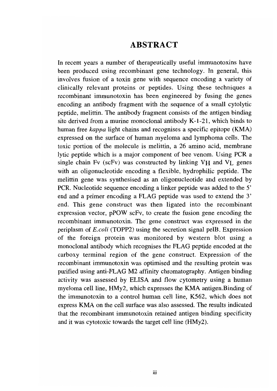#### **ABSTRACT**

In recent years a number of therapeutically useful immunotoxins have been produced using recombinant gene technology. In general, this involves fusion of a toxin gene with sequence encoding a variety of clinically relevant proteins or peptides. Using these techniques a recombinant immunotoxin has been engineered by fusing the genes encoding an antibody fragment with the sequence of a small cytolytic peptide, melittin. The antibody fragment consists of the antigen binding site derived from a murine monoclonal antibody K-1-21, which binds to human free *kappa* light chains and recognises a specific epitope (KMA) expressed on the surface of human myeloma and lymphoma cells. The toxic portion of the molecule is melittin, a 26 amino acid, membrane lytic peptide which is a major component of bee venom. Using PCR a single chain Fv (scFv) was constructed by linking VH and VL genes with an oligonucleotide encoding a flexible, hydrophilic peptide. The melittin gene was synthesised as an oligonucleotide and extended by PCR. Nucleotide sequence encoding a linker peptide was added to the 5' end and a primer encoding a FLAG peptide was used to extend the 3' end. This gene construct was then ligated into the recombinant expression vector, pPOW scFv, to create the fusion gene encoding the recombinant immunotoxin. The gene construct was expressed in the periplasm of *E.coli* (TOPP2) using the secretion signal pelB. Expression of the foreign protein was monitored by western blot using a monoclonal antibody which recognises the FLAG peptide encoded at the carboxy terminal region of the gene construct. Expression of the recombinant immunotoxin was optimised and the resulting protein was purified using anti-FLAG M2 affinity chromatography. Antigen binding activity was assessed by ELISA and flow cytometry using a human myeloma cell line, HMy2, which expresses the KMA antigen.Binding of the immunotoxin to a control human cell line, K562, which does not express KMA on the cell surface was also assessed. The results indicated that the recombinant immunotoxin retained antigen binding specificity and it was cytotoxic towards the target cell line (HMy2).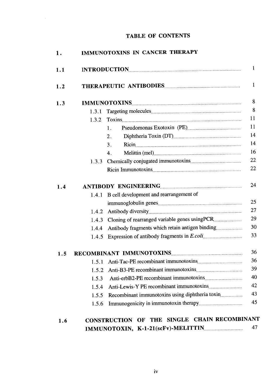#### **TABLE OF CONTENTS**

| 1.1 |                                           |                                                                                            |  |  |
|-----|-------------------------------------------|--------------------------------------------------------------------------------------------|--|--|
| 1.2 |                                           |                                                                                            |  |  |
| 1.3 |                                           |                                                                                            |  |  |
|     | 1.3.1                                     |                                                                                            |  |  |
|     | 1.3.2                                     |                                                                                            |  |  |
|     |                                           | 1.                                                                                         |  |  |
|     |                                           | 2.                                                                                         |  |  |
|     |                                           | 3 <sub>1</sub>                                                                             |  |  |
|     |                                           | 4.                                                                                         |  |  |
|     | 1.3.3                                     |                                                                                            |  |  |
| 1.4 | 1.4.1<br>1.4.2<br>1.4.3<br>1.4.4<br>1.4.5 | B cell development and rearrangement of<br>Antibody fragments which retain antigen binding |  |  |
| 1.5 |                                           |                                                                                            |  |  |
|     | 1.5.1                                     |                                                                                            |  |  |
|     | 1.5.2                                     |                                                                                            |  |  |
|     | 1.5.3                                     |                                                                                            |  |  |
|     | 1.5.4                                     |                                                                                            |  |  |
|     | 1.5.5                                     | Recombinant immunotoxins using diphtheria toxin                                            |  |  |
|     | 1.5.6                                     |                                                                                            |  |  |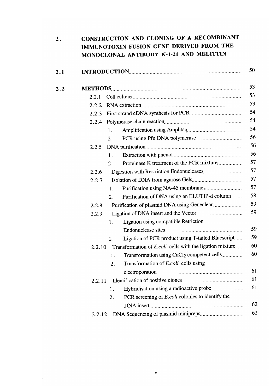| $\boldsymbol{2}$ . | CONSTRUCTION AND CLONING OF A RECOMBINANT<br>IMMUNOTOXIN FUSION GENE DERIVED FROM THE<br>MONOCLONAL ANTIBODY K-1-21 AND MELITTIN |
|--------------------|----------------------------------------------------------------------------------------------------------------------------------|
| 2.1                |                                                                                                                                  |
| 2.2                |                                                                                                                                  |
|                    | 2.2.1                                                                                                                            |
|                    | RNA extraction<br>2.2.2                                                                                                          |
|                    | 2.2.3                                                                                                                            |
|                    |                                                                                                                                  |
|                    | 1.                                                                                                                               |
|                    | 2.                                                                                                                               |
|                    | 2.2.5                                                                                                                            |
|                    | 1.                                                                                                                               |
|                    | $\overline{2}$ .                                                                                                                 |
|                    | 2.2.6                                                                                                                            |
|                    | 2.2.7                                                                                                                            |
|                    | 1.                                                                                                                               |
|                    | Purification of DNA using an ELUTIP-d column<br>2.                                                                               |
|                    | 2.2.8                                                                                                                            |
|                    | 2.2.9                                                                                                                            |
|                    | Ligation using compatible Retriction<br>1.                                                                                       |
|                    |                                                                                                                                  |
|                    | Ligation of PCR product using T-tailed Bluescript<br>2.                                                                          |
|                    | Transformation of E.coli cells with the ligation mixture<br>2.2.10                                                               |
|                    | Transformation using CaCl <sub>2</sub> competent cells<br>1.                                                                     |
|                    | Transformation of E.coli cells using<br>2.                                                                                       |
|                    |                                                                                                                                  |
|                    | 2.2.11                                                                                                                           |
|                    | Hybridisation using a radioactive probe<br>1.                                                                                    |
|                    | PCR screening of <i>E.coli</i> colonies to identify the<br>2.                                                                    |
|                    |                                                                                                                                  |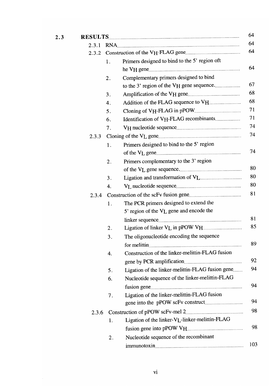| 2.3 |       |    |                                                  |
|-----|-------|----|--------------------------------------------------|
|     | 2.3.1 |    | RNA                                              |
|     | 2.3.2 |    |                                                  |
|     |       | 1. | Primers designed to bind to the 5' region oft    |
|     |       |    |                                                  |
|     |       | 2. | Complementary primers designed to bind           |
|     |       |    | to the 3' region of the VH gene sequence         |
|     |       | 3. |                                                  |
|     |       | 4. | Addition of the FLAG sequence to VH              |
|     |       | 5. |                                                  |
|     |       | 6. | Identification of VH-FLAG recombinants           |
|     |       | 7. |                                                  |
|     | 2.3.3 |    |                                                  |
|     |       | 1. | Primers designed to bind to the 5' region        |
|     |       |    |                                                  |
|     |       | 2. | Primers complementary to the 3' region           |
|     |       |    |                                                  |
|     |       | 3. |                                                  |
|     |       | 4. |                                                  |
|     | 2.3.4 |    |                                                  |
|     |       | 1. | The PCR primers designed to extend the           |
|     |       |    | 5' region of the VL gene and encode the          |
|     |       |    |                                                  |
|     |       | 2. |                                                  |
|     |       | 3. | The oligonucleotide encoding the sequence        |
|     |       |    |                                                  |
|     |       | 4. | Construction of the linker-melittin-FLAG fusion  |
|     |       |    |                                                  |
|     |       | 5. | Ligation of the linker-melittin-FLAG fusion gene |
|     |       | 6. | Nucleotide sequence of the linker-melittin-FLAG  |
|     |       |    |                                                  |
|     |       | 7. | Ligation of the linker-melittin-FLAG fusion      |
|     |       |    |                                                  |
|     | 2.3.6 |    |                                                  |
|     |       | 1. | Ligation of the linker-VL-linker-melittin-FLAG   |
|     |       |    |                                                  |
|     |       | 2. | Nucleotide sequence of the recombinant           |
|     |       |    |                                                  |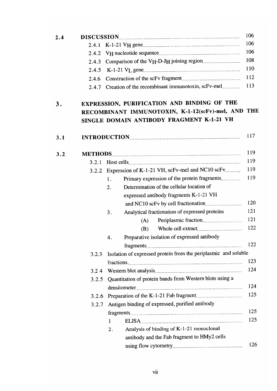| 2.4 |       |                                                                 | 106 |
|-----|-------|-----------------------------------------------------------------|-----|
|     | 2.4.1 |                                                                 | 106 |
|     | 2.4.2 |                                                                 | 106 |
|     | 2.4.3 |                                                                 | 108 |
|     | 2.4.5 |                                                                 | 110 |
|     | 2.4.6 |                                                                 | 112 |
|     |       | 2.4.7 Creation of the recombinant immunotoxin, scFv-mel         | 113 |
| 3.  |       | EXPRESSION, PURIFICATION AND BINDING OF THE                     |     |
|     |       | RECOMBINANT IMMUNOTOXIN, K-1-12(scFv)-mel, AND THE              |     |
|     |       | SINGLE DOMAIN ANTIBODY FRAGMENT K-1-21 VH                       |     |
| 3.1 |       |                                                                 | 117 |
| 3.2 |       |                                                                 | 119 |
|     | 3.2.1 |                                                                 | 119 |
|     |       | 3.2.2 Expression of K-1-21 VH, scFv-mel and NC10 scFv           | 119 |
|     |       | Primary expression of the protein fragments<br>1.               | 119 |
|     |       | Determination of the cellular location of<br>2.                 |     |
|     |       | expressed antibody fragments K-1-21 VH                          |     |
|     |       |                                                                 | 120 |
|     |       | Analytical fractionation of expressed proteins<br>3.            | 121 |
|     |       | (A)                                                             | 121 |
|     |       | (B)                                                             | 122 |
|     |       | Preparative isolation of expressed antibody<br>4.               |     |
|     |       |                                                                 | 122 |
|     | 3.2.3 | Isolation of expressed protein from the periplasmic and soluble |     |
|     |       |                                                                 | 123 |
|     | 3.24  |                                                                 | 124 |
|     | 3.2.5 | Quantitation of protein bands from Western blots using a        |     |
|     |       |                                                                 | 124 |
|     | 3.2.6 |                                                                 | 125 |
|     | 3.2.7 | Antigen binding of expressed, purified antibody                 |     |
|     |       |                                                                 | 125 |
|     |       | ELISA<br>1                                                      | 125 |
|     |       | Analysis of binding of K-1-21 monoclonal<br>2.                  |     |
|     |       | antibody and the Fab fragment to HMy2 cells                     |     |
|     |       |                                                                 | 126 |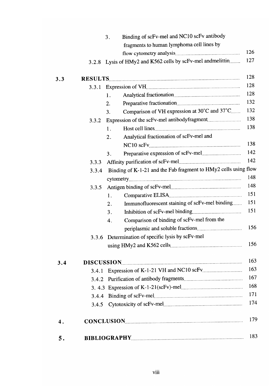|     |       | Binding of scFv-mel and NC10 scFv antibody<br>3.                |     |
|-----|-------|-----------------------------------------------------------------|-----|
|     |       | fragments to human lymphoma cell lines by                       |     |
|     |       |                                                                 | 126 |
|     |       | 3.2.8 Lysis of HMy2 and K562 cells by scFv-mel and melittin     | 127 |
| 3.3 |       |                                                                 | 128 |
|     | 3.3.1 |                                                                 | 128 |
|     |       | 1.                                                              | 128 |
|     |       | 2.                                                              | 132 |
|     |       | Comparison of VH expression at 30°C and 37°C<br>3.              | 132 |
|     | 3.3.2 |                                                                 | 138 |
|     |       | 1.                                                              | 138 |
|     |       | Analytical fractionation of scFv-mel and<br>2.                  |     |
|     |       |                                                                 | 138 |
|     |       | 3.                                                              | 142 |
|     | 3.3.3 |                                                                 | 142 |
|     | 3.3.4 | Binding of K-1-21 and the Fab fragment to HMy2 cells using flow |     |
|     |       |                                                                 | 148 |
|     | 3.3.5 |                                                                 | 148 |
|     |       | 1.                                                              | 151 |
|     |       | Immunofluorescent staining of scFv-mel binding<br>2.            | 151 |
|     |       | 3.                                                              | 151 |
|     |       | Comparison of binding of scFv-mel from the<br>4.                |     |
|     |       |                                                                 | 156 |
|     |       | 3.3.6 Determination of specific lysis by scFv-mel               |     |
|     |       |                                                                 | 156 |
| 3.4 |       | DISCUSSION                                                      | 163 |
|     | 3.4.1 |                                                                 | 163 |
|     |       |                                                                 | 167 |
|     |       |                                                                 | 168 |
|     | 3.4.4 |                                                                 | 171 |
|     | 3.4.5 |                                                                 | 174 |
| 4.  |       |                                                                 | 179 |
| 5.  |       |                                                                 | 183 |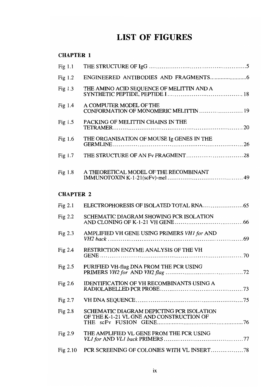### **LIST OF FIGURES**

**CHAPTER 1** 

| Fig $1.1$        |                                                                                       |  |  |  |
|------------------|---------------------------------------------------------------------------------------|--|--|--|
| Fig $1.2$        |                                                                                       |  |  |  |
| Fig $1.3$        | THE AMINO ACID SEQUENCE OF MELITTIN AND A                                             |  |  |  |
| Fig $1.4$        | A COMPUTER MODEL OF THE<br>CONFORMATION OF MONOMERIC MELITTIN  19                     |  |  |  |
| Fig $1.5$        | PACKING OF MELITTIN CHAINS IN THE                                                     |  |  |  |
| Fig $1.6$        | THE ORGANISATION OF MOUSE Ig GENES IN THE                                             |  |  |  |
| Fig 1.7          |                                                                                       |  |  |  |
| Fig $1.8$        | A THEORETICAL MODEL OF THE RECOMBINANT                                                |  |  |  |
| <b>CHAPTER 2</b> |                                                                                       |  |  |  |
| Fig $2.1$        |                                                                                       |  |  |  |
| Fig $2.2$        | SCHEMATIC DIAGRAM SHOWING PCR ISOLATION                                               |  |  |  |
| Fig $2.3$        | AMPLIFIED VH GENE USING PRIMERS VH1 for AND                                           |  |  |  |
| Fig $2.4$        | RESTRICTION ENZYME ANALYSIS OF THE VH<br>GENE                                         |  |  |  |
| Fig 2.5          | PURIFIED VH-flag DNA FROM THE PCR USING                                               |  |  |  |
| Fig $2.6$        | <b>IDENTIFICATION OF VH RECOMBINANTS USING A</b>                                      |  |  |  |
| Fig $2.7$        |                                                                                       |  |  |  |
| Fig 2.8          | SCHEMATIC DIAGRAM DEPICTING PCR ISOLATION<br>OF THE K-1-21 VL GNE AND CONSTRUCTION OF |  |  |  |
| Fig $2.9$        | THE AMPLIFIED VL GENE FROM THE PCR USING                                              |  |  |  |
| Fig $2.10$       |                                                                                       |  |  |  |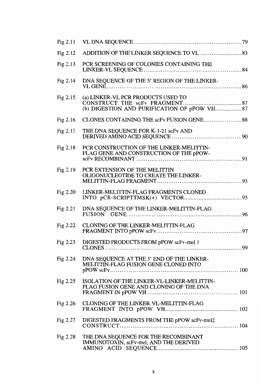| Fig $2.11$ |                                                                                        |
|------------|----------------------------------------------------------------------------------------|
| Fig 2.12   |                                                                                        |
| Fig 2.13   | PCR SCREENING OF COLONIES CONTAINING THE                                               |
| Fig 2.14   | DNA SEQUENCE OF THE 5' REGION OF THE LINKER-                                           |
| Fig $2.15$ | (a) LINKER-VL PCR PRODUCTS USED TO                                                     |
| Fig $2.16$ | CLONES CONTAINING THE scFv FUSION GENE88                                               |
| Fig 2.17   | THE DNA SEQUENCE FOR K-1-21 scFv AND                                                   |
| Fig 2.18   | PCR CONSTRUCTION OF THE LINKER-MELITTIN-<br>FLAG GENE AND CONSTRUCTION OF THE pPOW-    |
| Fig $2.19$ | PCR EXTENSION OF THE MELITTIN<br>OLIGONUCLEOTIDE TO CREATE THE LINKER-                 |
| Fig 2.20   | LINKER-MELITTIN-FLAG FRAGMENTS CLONED                                                  |
| Fig 2.21   | DNA SEQUENCE OF THE LINKER-MELITTIN-FLAG                                               |
| Fig $2.22$ | CLONING OF THE LINKER-MELITTIN-FLAG                                                    |
| Fig $2.23$ | DIGESTED PRODUCTS FROM pPOW scFv-mel 1                                                 |
| Fig $2.24$ | DNA SEQUENCE AT THE 3' END OF THE LINKER-<br>MELITTIN-FLAG FUSION GENE CLONED INTO     |
| Fig 2.25   | ISOLATION OF THE LINKER-VL-LINKER-MELITTIN-<br>FLAG FUSION GENE AND CLONING OF THE DNA |
| Fig $2.26$ | CLONING OF THE LINKER-VL-MELITTIN-FLAG                                                 |
| Fig 2.27   | DIGESTED FRAGMENTS FROM THE pPOW scFv-mel2                                             |
| Fig $2.28$ | THE DNA SEQUENCE FOR THE RECOMBINANT<br>IMMUNOTOXIN, scFv-mel, AND THE DERIVED         |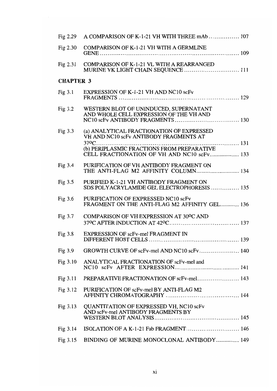| Fig $2.29$       | A COMPARISON OF K-1-21 VH WITH THREE mAb  107                                          |
|------------------|----------------------------------------------------------------------------------------|
| Fig $2.30$       | <b>COMPARISON OF K-1-21 VH WITH A GERMLINE</b>                                         |
| Fig $2.31$       | COMPARISON OF K-1-21 VL WITH A REARRANGED<br>MURINE VK LIGHT CHAIN SEQUENCE  111       |
| <b>CHAPTER 3</b> |                                                                                        |
| Fig $3.1$        | EXPRESSION OF K-1-21 VH AND NC10 scFv                                                  |
| Fig $3.2$        | WESTERN BLOT OF UNINDUCED, SUPERNATANT<br>AND WHOLE CELL EXPRESSION OF THE VH AND      |
| Fig $3.3$        | (a) ANALYTICAL FRACTIONATION OF EXPRESSED<br>VH AND NC10 scFv ANTIBODY FRAGMENTS AT    |
|                  | CELL FRACTIONATION OF VH AND NC10 scFv 133                                             |
| Fig 3.4          | PURIFICATION OF VH ANTIBODY FRAGMENT ON<br>THE ANTI-FLAG M2 AFFINITY COLUMN 134        |
| Fig $3.5$        | PURIFIED K-1-21 VH ANTIBODY FRAGMENT ON<br>SDS POLYACRYLAMIDE GEL ELECTROPHORESIS  135 |
| Fig 3.6          | PURIFICATION OF EXPRESSED NC10 scFv<br>FRAGMENT ON THE ANTI-FLAG M2 AFFINITY GEL 136   |
| Fig $3.7$        | COMPARISON OF VH EXPRESSION AT 30°C AND                                                |
| Fig 3.8          | EXPRESSION OF scFv-mel FRAGMENT IN                                                     |
| Fig 3.9          |                                                                                        |
| Fig $3.10$       | ANALYTICAL FRACTIONATION OF scFv-mel and                                               |
| Fig $3.11$       |                                                                                        |
| Fig 3.12         | PURIFICATION OF scFv-mel BY ANTI-FLAG M2                                               |
| Fig $3.13$       | <b>QUANTITATION OF EXPRESSED VH, NC10 scFv</b><br>AND scFv-mel ANTIBODY FRAGMENTS BY   |
| Fig $3.14$       | ISOLATION OF A K-1-21 Fab FRAGMENT 146                                                 |
| Fig $3.15$       | BINDING OF MURINE MONOCLONAL ANTIBODY 149                                              |
|                  |                                                                                        |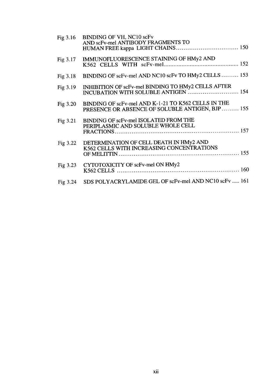| Fig $3.16$ | BINDING OF VH, NC10 scFv<br>AND scFv-mel ANTIBODY FRAGMENTS TO                                         |
|------------|--------------------------------------------------------------------------------------------------------|
| Fig 3.17   | IMMUNOFLUORESCENCE STAINING OF HMy2 AND                                                                |
| Fig 3.18   | BINDING OF scFv-mel AND NC10 scFv TO HMy2 CELLS  153                                                   |
| Fig 3.19   | INHIBITION OF scFv-mel BINDING TO HMy2 CELLS AFTER<br>INCUBATION WITH SOLUBLE ANTIGEN  154             |
| Fig $3.20$ | BINDING OF scFv-mel AND K-1-21 TO K562 CELLS IN THE<br>PRESENCE OR ABSENCE OF SOLUBLE ANTIGEN, BJP 155 |
| Fig 3.21   | BINDING OF scFv-mel ISOLATED FROM THE<br>PERIPLASMIC AND SOLUBLE WHOLE CELL                            |
| Fig 3.22   | DETERMINATION OF CELL DEATH IN HMy2 AND<br>K562 CELLS WITH INCREASING CONCENTRATIONS                   |
| Fig 3.23   | CYTOTOXICITY OF scFv-mel ON HMy2                                                                       |
| Fig 3.24   | SDS POLYACRYLAMIDE GEL OF scFv-mel AND NC10 scFv  161                                                  |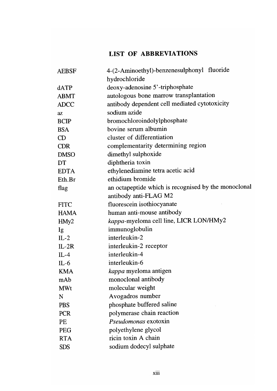#### **LIST OF ABBREVIATIONS**

| <b>AEBSF</b>     | 4-(2-Aminoethyl)-benzenesulphonyl fluoride           |
|------------------|------------------------------------------------------|
|                  | hydrochloride                                        |
| dATP             | deoxy-adenosine 5'-triphosphate                      |
| <b>ABMT</b>      | autologous bone marrow transplantation               |
| <b>ADCC</b>      | antibody dependent cell mediated cytotoxicity        |
| $a\overline{z}$  | sodium azide                                         |
| <b>BCIP</b>      | bromochloroindolylphosphate                          |
| <b>BSA</b>       | bovine serum albumin                                 |
| CD               | cluster of differentiation                           |
| <b>CDR</b>       | complementarity determining region                   |
| <b>DMSO</b>      | dimethyl sulphoxide                                  |
| DT               | diphtheria toxin                                     |
| <b>EDTA</b>      | ethylenediamine tetra acetic acid                    |
| Eth.Br           | ethidium bromide                                     |
| flag             | an octapeptide which is recognised by the monoclonal |
|                  | antibody anti-FLAG M2                                |
| <b>FITC</b>      | fluorescein isothiocyanate                           |
| <b>HAMA</b>      | human anti-mouse antibody                            |
| HMy <sub>2</sub> | kappa-myeloma cell line, LICR LON/HMy2               |
| Ig               | immunoglobulin                                       |
| $IL-2$           | interleukin-2                                        |
| $IL-2R$          | interleukin-2 receptor                               |
| $IL-4$           | interleukin-4                                        |
| $IL-6$           | interleukin-6                                        |
| <b>KMA</b>       | <i>kappa</i> myeloma antigen                         |
| mAb              | monoclonal antibody                                  |
| <b>MWt</b>       | molecular weight                                     |
| N                | Avogadros number                                     |
| <b>PBS</b>       | phosphate buffered saline                            |
| <b>PCR</b>       | polymerase chain reaction                            |
| PE               | <i>Pseudomonas</i> exotoxin                          |
| <b>PEG</b>       | polyethylene glycol                                  |
| <b>RTA</b>       | ricin toxin A chain                                  |
| <b>SDS</b>       | sodium dodecyl sulphate                              |
|                  |                                                      |